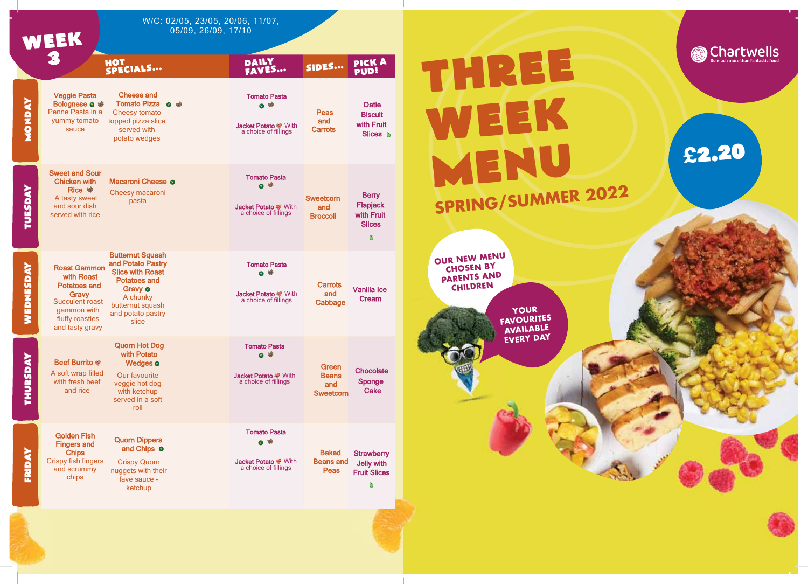